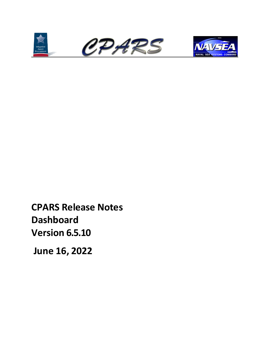





**CPARS Release Notes Dashboard Version 6.5.10**

**June 16, 2022**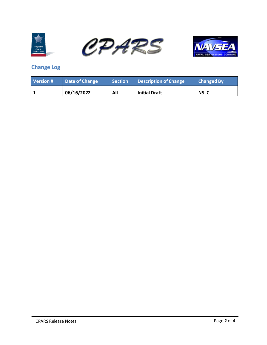





## <span id="page-1-0"></span>**Change Log**

| Version # | Date of Change | <b>Section</b> | Description of Change | <b>Changed By</b> |
|-----------|----------------|----------------|-----------------------|-------------------|
|           | 06/16/2022     | All            | <b>Initial Draft</b>  | <b>NSLC</b>       |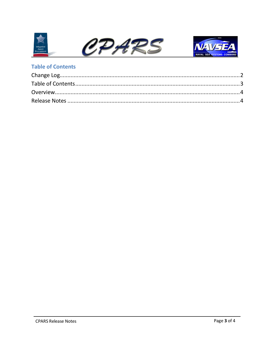



## <span id="page-2-0"></span>**Table of Contents**